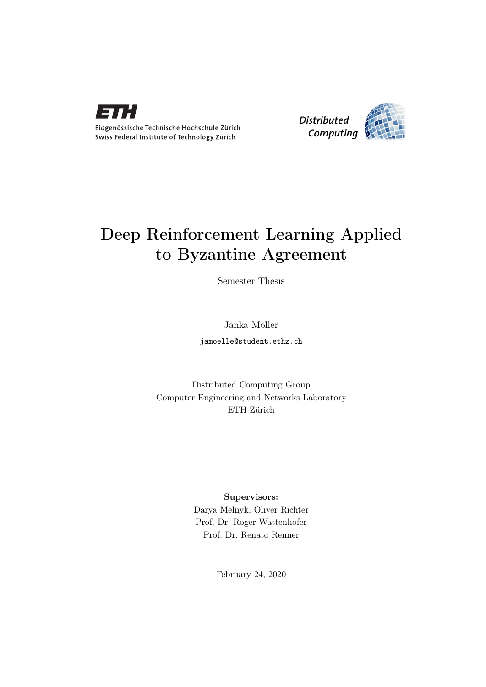

Eidgenössische Technische Hochschule Zürich Swiss Federal Institute of Technology Zurich



# Deep Reinforcement Learning Applied to Byzantine Agreement

Semester Thesis

Janka Möller

jamoelle@student.ethz.ch

Distributed Computing Group Computer Engineering and Networks Laboratory ETH Zürich

#### Supervisors:

Darya Melnyk, Oliver Richter Prof. Dr. Roger Wattenhofer Prof. Dr. Renato Renner

February 24, 2020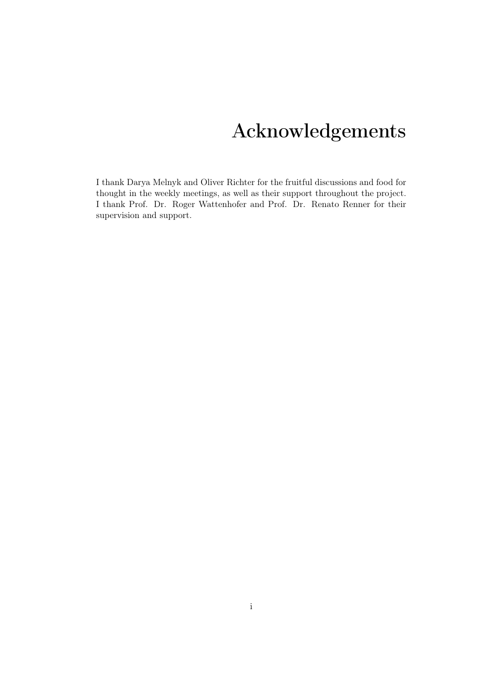# Acknowledgements

<span id="page-1-0"></span>I thank Darya Melnyk and Oliver Richter for the fruitful discussions and food for thought in the weekly meetings, as well as their support throughout the project. I thank Prof. Dr. Roger Wattenhofer and Prof. Dr. Renato Renner for their supervision and support.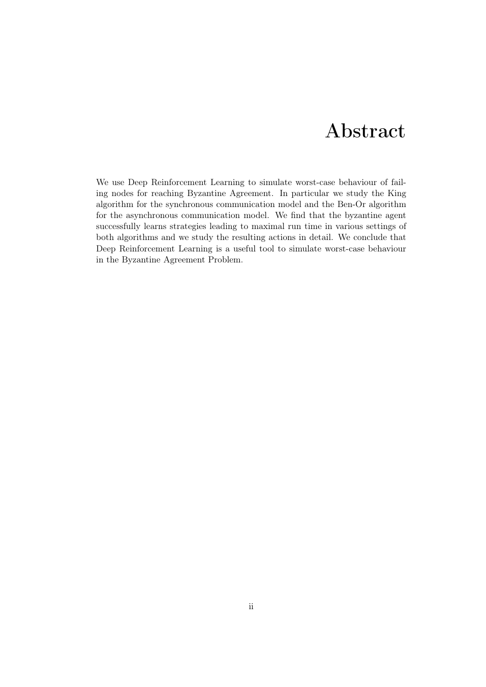# Abstract

<span id="page-2-0"></span>We use Deep Reinforcement Learning to simulate worst-case behaviour of failing nodes for reaching Byzantine Agreement. In particular we study the King algorithm for the synchronous communication model and the Ben-Or algorithm for the asynchronous communication model. We find that the byzantine agent successfully learns strategies leading to maximal run time in various settings of both algorithms and we study the resulting actions in detail. We conclude that Deep Reinforcement Learning is a useful tool to simulate worst-case behaviour in the Byzantine Agreement Problem.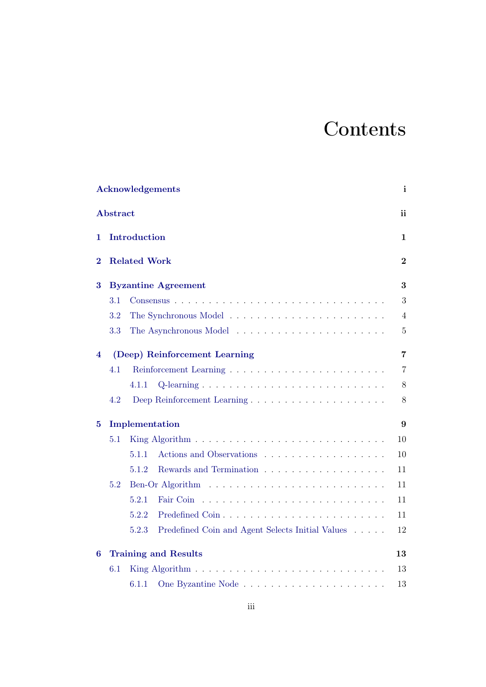# **Contents**

| <b>Acknowledgements</b> |                                   |                                                                          |                |  |  |
|-------------------------|-----------------------------------|--------------------------------------------------------------------------|----------------|--|--|
| <b>Abstract</b>         |                                   |                                                                          |                |  |  |
| 1                       | Introduction                      |                                                                          |                |  |  |
| $\bf{2}$                | <b>Related Work</b>               |                                                                          |                |  |  |
| 3                       | <b>Byzantine Agreement</b>        |                                                                          |                |  |  |
|                         | 3.1                               |                                                                          | 3              |  |  |
|                         | 3.2                               |                                                                          | 4              |  |  |
|                         | 3.3                               |                                                                          | $5\,$          |  |  |
| 4                       | (Deep) Reinforcement Learning     | $\overline{7}$                                                           |                |  |  |
|                         | 4.1                               |                                                                          | $\overline{7}$ |  |  |
|                         |                                   | 4.1.1                                                                    | $8\,$          |  |  |
|                         | 4.2                               | Deep Reinforcement Learning                                              | $8\,$          |  |  |
| $\bf{5}$                | Implementation                    |                                                                          |                |  |  |
|                         | 5.1                               |                                                                          | 10             |  |  |
|                         |                                   | 5.1.1                                                                    | 10             |  |  |
|                         |                                   | 5.1.2                                                                    | 11             |  |  |
|                         | 5.2                               |                                                                          | 11             |  |  |
|                         |                                   | 5.2.1                                                                    | 11             |  |  |
|                         |                                   | 5.2.2                                                                    | 11             |  |  |
|                         |                                   | 5.2.3<br>Predefined Coin and Agent Selects Initial Values                | 12             |  |  |
| 6                       | 13<br><b>Training and Results</b> |                                                                          |                |  |  |
|                         | 6.1                               | King Algorithm $\ldots \ldots \ldots \ldots \ldots \ldots \ldots \ldots$ | 13             |  |  |
|                         |                                   | 6.1.1                                                                    | 13             |  |  |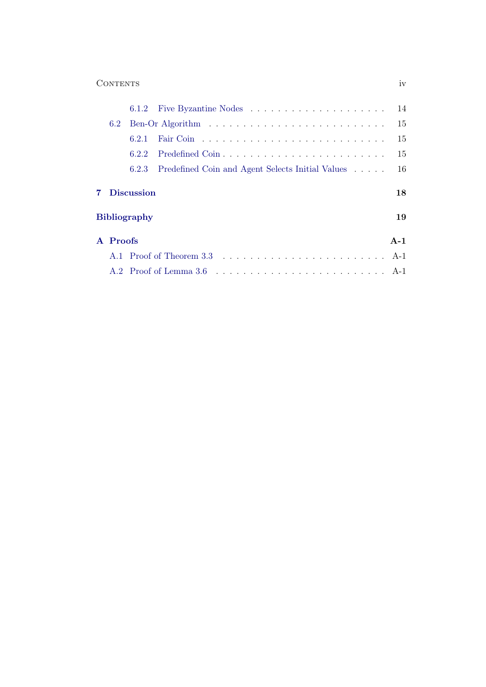### Contents iv

|                     | 6.2      | Ben-Or Algorithm $\ldots \ldots \ldots \ldots \ldots \ldots \ldots \ldots \ldots \ldots 15$ |                                                  |       |  |  |
|---------------------|----------|---------------------------------------------------------------------------------------------|--------------------------------------------------|-------|--|--|
|                     |          | 6.2.1                                                                                       |                                                  | 15    |  |  |
|                     |          | 6.2.2                                                                                       |                                                  | 15    |  |  |
|                     |          | 6.2.3                                                                                       | Predefined Coin and Agent Selects Initial Values | 16    |  |  |
| <b>7</b> Discussion |          |                                                                                             |                                                  |       |  |  |
| <b>Bibliography</b> |          |                                                                                             |                                                  |       |  |  |
|                     | A Proofs |                                                                                             |                                                  | $A-1$ |  |  |
|                     |          |                                                                                             |                                                  |       |  |  |
|                     |          |                                                                                             |                                                  |       |  |  |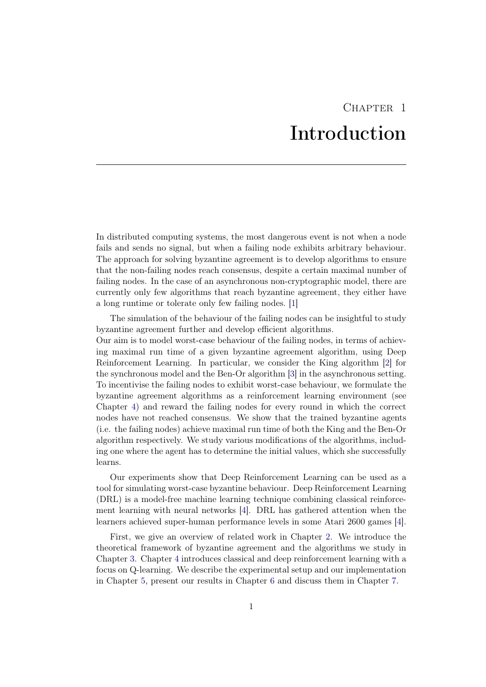# CHAPTER<sub>1</sub> Introduction

<span id="page-5-0"></span>In distributed computing systems, the most dangerous event is not when a node fails and sends no signal, but when a failing node exhibits arbitrary behaviour. The approach for solving byzantine agreement is to develop algorithms to ensure that the non-failing nodes reach consensus, despite a certain maximal number of failing nodes. In the case of an asynchronous non-cryptographic model, there are currently only few algorithms that reach byzantine agreement, they either have a long runtime or tolerate only few failing nodes. [\[1\]](#page-23-1)

The simulation of the behaviour of the failing nodes can be insightful to study byzantine agreement further and develop efficient algorithms.

Our aim is to model worst-case behaviour of the failing nodes, in terms of achieving maximal run time of a given byzantine agreement algorithm, using Deep Reinforcement Learning. In particular, we consider the King algorithm [\[2\]](#page-23-2) for the synchronous model and the Ben-Or algorithm [\[3\]](#page-23-3) in the asynchronous setting. To incentivise the failing nodes to exhibit worst-case behaviour, we formulate the byzantine agreement algorithms as a reinforcement learning environment (see Chapter [4\)](#page-11-0) and reward the failing nodes for every round in which the correct nodes have not reached consensus. We show that the trained byzantine agents (i.e. the failing nodes) achieve maximal run time of both the King and the Ben-Or algorithm respectively. We study various modifications of the algorithms, including one where the agent has to determine the initial values, which she successfully learns.

Our experiments show that Deep Reinforcement Learning can be used as a tool for simulating worst-case byzantine behaviour. Deep Reinforcement Learning (DRL) is a model-free machine learning technique combining classical reinforcement learning with neural networks [\[4\]](#page-23-4). DRL has gathered attention when the learners achieved super-human performance levels in some Atari 2600 games [\[4\]](#page-23-4).

First, we give an overview of related work in Chapter [2.](#page-6-0) We introduce the theoretical framework of byzantine agreement and the algorithms we study in Chapter [3.](#page-7-0) Chapter [4](#page-11-0) introduces classical and deep reinforcement learning with a focus on Q-learning. We describe the experimental setup and our implementation in Chapter [5,](#page-13-0) present our results in Chapter [6](#page-17-0) and discuss them in Chapter [7.](#page-22-0)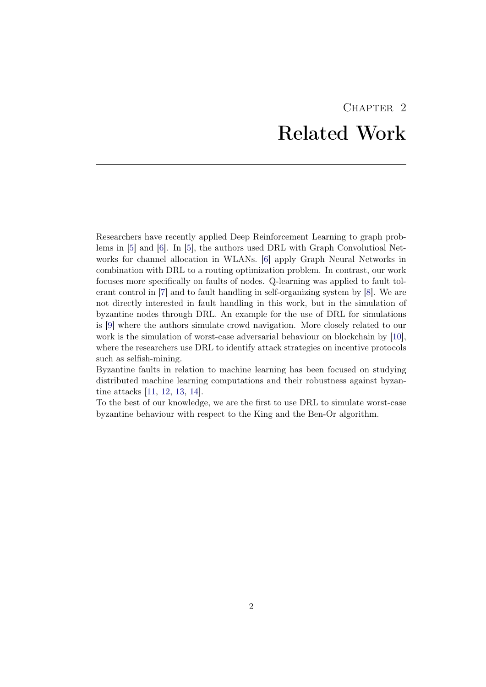# CHAPTER<sub>2</sub> Related Work

<span id="page-6-0"></span>Researchers have recently applied Deep Reinforcement Learning to graph problems in [\[5\]](#page-23-5) and [\[6\]](#page-23-6). In [\[5\]](#page-23-5), the authors used DRL with Graph Convolutioal Networks for channel allocation in WLANs. [\[6\]](#page-23-6) apply Graph Neural Networks in combination with DRL to a routing optimization problem. In contrast, our work focuses more specifically on faults of nodes. Q-learning was applied to fault tolerant control in [\[7\]](#page-23-7) and to fault handling in self-organizing system by [\[8\]](#page-23-8). We are not directly interested in fault handling in this work, but in the simulation of byzantine nodes through DRL. An example for the use of DRL for simulations is [\[9\]](#page-23-9) where the authors simulate crowd navigation. More closely related to our work is the simulation of worst-case adversarial behaviour on blockchain by [\[10\]](#page-24-0), where the researchers use DRL to identify attack strategies on incentive protocols such as selfish-mining.

Byzantine faults in relation to machine learning has been focused on studying distributed machine learning computations and their robustness against byzantine attacks [\[11,](#page-24-1) [12,](#page-24-2) [13,](#page-24-3) [14\]](#page-24-4).

To the best of our knowledge, we are the first to use DRL to simulate worst-case byzantine behaviour with respect to the King and the Ben-Or algorithm.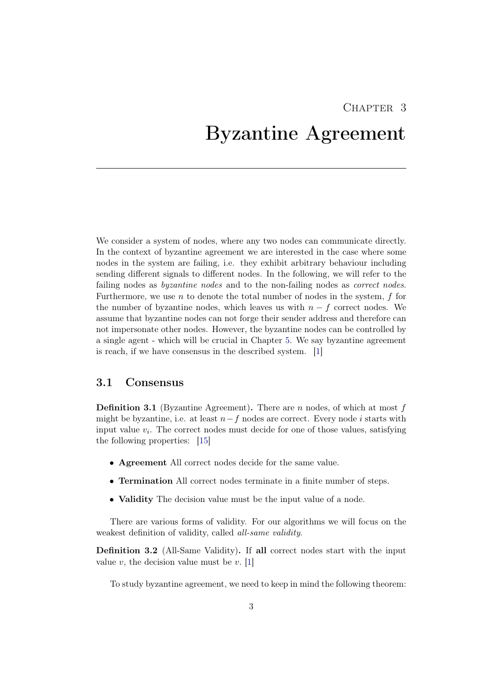# CHAPTER 3

# <span id="page-7-0"></span>Byzantine Agreement

We consider a system of nodes, where any two nodes can communicate directly. In the context of byzantine agreement we are interested in the case where some nodes in the system are failing, i.e. they exhibit arbitrary behaviour including sending different signals to different nodes. In the following, we will refer to the failing nodes as byzantine nodes and to the non-failing nodes as correct nodes. Furthermore, we use  $n$  to denote the total number of nodes in the system,  $f$  for the number of byzantine nodes, which leaves us with  $n - f$  correct nodes. We assume that byzantine nodes can not forge their sender address and therefore can not impersonate other nodes. However, the byzantine nodes can be controlled by a single agent - which will be crucial in Chapter [5.](#page-13-0) We say byzantine agreement is reach, if we have consensus in the described system. [\[1\]](#page-23-1)

### <span id="page-7-1"></span>3.1 Consensus

**Definition 3.1** (Byzantine Agreement). There are n nodes, of which at most f might be byzantine, i.e. at least  $n-f$  nodes are correct. Every node i starts with input value  $v_i$ . The correct nodes must decide for one of those values, satisfying the following properties: [\[15\]](#page-24-5)

- Agreement All correct nodes decide for the same value.
- Termination All correct nodes terminate in a finite number of steps.
- **Validity** The decision value must be the input value of a node.

There are various forms of validity. For our algorithms we will focus on the weakest definition of validity, called all-same validity.

Definition 3.2 (All-Same Validity). If all correct nodes start with the input value  $v$ , the decision value must be  $v$ . [\[1\]](#page-23-1)

To study byzantine agreement, we need to keep in mind the following theorem: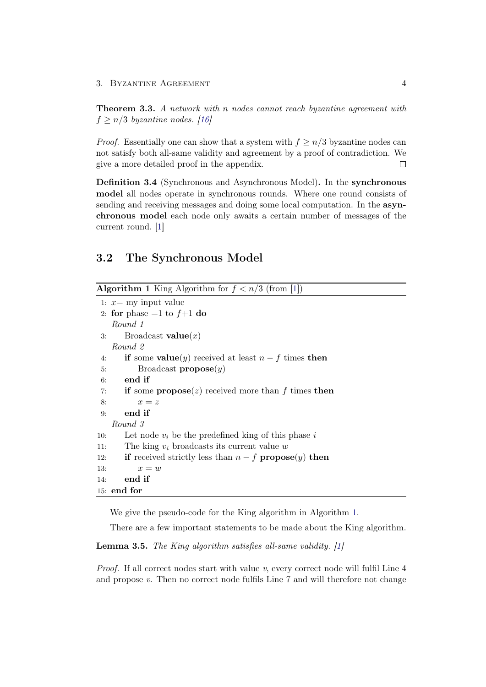#### 3. BYZANTINE AGREEMENT 4

<span id="page-8-1"></span>Theorem 3.3. A network with n nodes cannot reach byzantine agreement with  $f > n/3$  byzantine nodes. [\[16\]](#page-24-6)

*Proof.* Essentially one can show that a system with  $f \geq n/3$  byzantine nodes can not satisfy both all-same validity and agreement by a proof of contradiction. We give a more detailed proof in the appendix.  $\Box$ 

Definition 3.4 (Synchronous and Asynchronous Model). In the synchronous model all nodes operate in synchronous rounds. Where one round consists of sending and receiving messages and doing some local computation. In the asynchronous model each node only awaits a certain number of messages of the current round. [\[1\]](#page-23-1)

### <span id="page-8-0"></span>3.2 The Synchronous Model

```
Algorithm 1 King Algorithm for f < n/3[1])
1: x= my input value
2: for phase =1 to f+1 do
   Round 1
3: Broadcast value(x)Round 2
4: if some value(y) received at least n - f times then
5: Broadcast propose(y)6: end if
7: if some propose(z) received more than f times then
8: x = z9: end if
   Round 3
10: Let node v_i be the predefined king of this phase i
11: The king v_i broadcasts its current value w
12: if received strictly less than n - f propose(y) then
13: x = w14: end if
15: end for
```
We give the pseudo-code for the King algorithm in Algorithm [1.](#page-8-2)

There are a few important statements to be made about the King algorithm.

Lemma 3.5. The King algorithm satisfies all-same validity. [\[1\]](#page-23-1)

*Proof.* If all correct nodes start with value  $v$ , every correct node will fulfil Line  $4$ and propose v. Then no correct node fulfils Line 7 and will therefore not change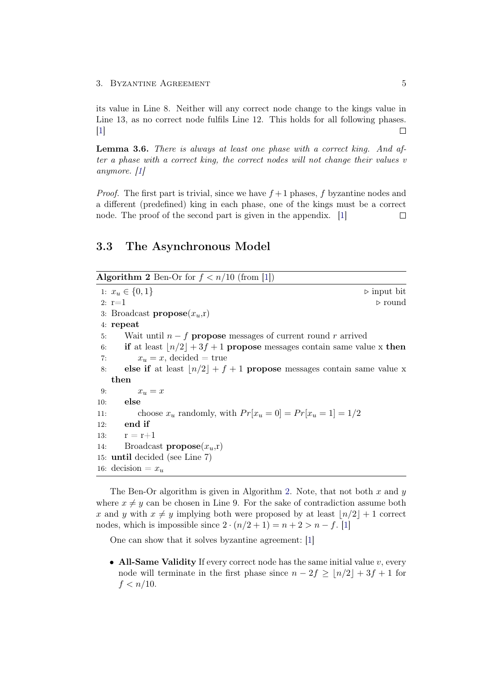its value in Line 8. Neither will any correct node change to the kings value in Line 13, as no correct node fulfils Line 12. This holds for all following phases. [\[1\]](#page-23-1)  $\Box$ 

<span id="page-9-1"></span>Lemma 3.6. There is always at least one phase with a correct king. And after a phase with a correct king, the correct nodes will not change their values v anymore. [\[1\]](#page-23-1)

*Proof.* The first part is trivial, since we have  $f + 1$  phases, f byzantine nodes and a different (predefined) king in each phase, one of the kings must be a correct node. The proof of the second part is given in the appendix. [\[1\]](#page-23-1)  $\Box$ 

### <span id="page-9-0"></span>3.3 The Asynchronous Model

<span id="page-9-2"></span>Algorithm 2 Ben-Or for  $f < n/10$  (from [\[1\]](#page-23-1))

1:  $x_u \in \{0, 1\}$  .  $\triangleright$  input bit 2:  $r=1$   $\triangleright$  round 3: Broadcast **propose** $(x_u, r)$ 4: repeat 5: Wait until  $n - f$  propose messages of current round r arrived 6: if at least  $\lfloor n/2 \rfloor + 3f + 1$  propose messages contain same value x then 7:  $x_u = x$ , decided = true 8: else if at least  $\lfloor n/2 \rfloor + f + 1$  propose messages contain same value x then 9:  $x_u = x$ 10: else 11: choose  $x_u$  randomly, with  $Pr[x_u = 0] = Pr[x_u = 1] = 1/2$ 12: end if 13:  $r = r + 1$ 14: Broadcast **propose** $(x_u, r)$ 15: until decided (see Line 7) 16: decision  $=x_u$ 

The Ben-Or algorithm is given in Algorithm [2.](#page-9-2) Note, that not both x and y where  $x \neq y$  can be chosen in Line 9. For the sake of contradiction assume both x and y with  $x \neq y$  implying both were proposed by at least  $\lfloor n/2 \rfloor + 1$  correct nodes, which is impossible since  $2 \cdot (n/2 + 1) = n + 2 > n - f$ . [\[1\]](#page-23-1)

One can show that it solves byzantine agreement: [\[1\]](#page-23-1)

• All-Same Validity If every correct node has the same initial value  $v$ , every node will terminate in the first phase since  $n - 2f \ge |n/2| + 3f + 1$  for  $f < n/10$ .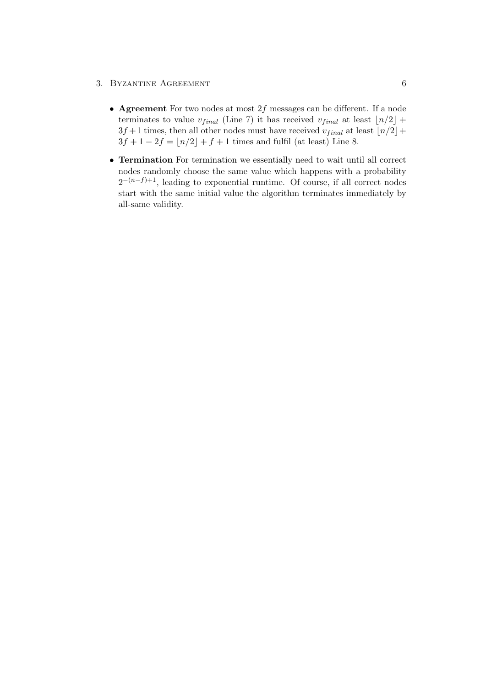#### 3. BYZANTINE AGREEMENT 6

- Agreement For two nodes at most  $2f$  messages can be different. If a node terminates to value  $v_{final}$  (Line 7) it has received  $v_{final}$  at least  $\lfloor n/2 \rfloor +$  $3f+1$  times, then all other nodes must have received  $v_{final}$  at least  $\lfloor n/2 \rfloor +$  $3f + 1 - 2f = |n/2| + f + 1$  times and fulfil (at least) Line 8.
- Termination For termination we essentially need to wait until all correct nodes randomly choose the same value which happens with a probability  $2^{-(n-f)+1}$ , leading to exponential runtime. Of course, if all correct nodes start with the same initial value the algorithm terminates immediately by all-same validity.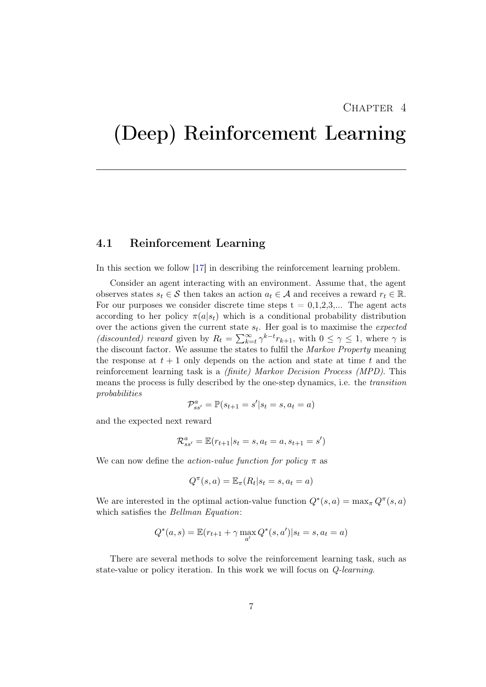### CHAPTER<sub>4</sub>

# <span id="page-11-0"></span>(Deep) Reinforcement Learning

### <span id="page-11-1"></span>4.1 Reinforcement Learning

In this section we follow [\[17\]](#page-24-7) in describing the reinforcement learning problem.

Consider an agent interacting with an environment. Assume that, the agent observes states  $s_t \in \mathcal{S}$  then takes an action  $a_t \in \mathcal{A}$  and receives a reward  $r_t \in \mathbb{R}$ . For our purposes we consider discrete time steps  $t = 0,1,2,3,...$  The agent acts according to her policy  $\pi(a|s_t)$  which is a conditional probability distribution over the actions given the current state  $s_t$ . Her goal is to maximise the *expected* (discounted) reward given by  $R_t = \sum_{k=t}^{\infty} \gamma^{k-t} r_{k+1}$ , with  $0 \le \gamma \le 1$ , where  $\gamma$  is the discount factor. We assume the states to fulfil the *Markov Property* meaning the response at  $t + 1$  only depends on the action and state at time t and the reinforcement learning task is a (finite) Markov Decision Process (MPD). This means the process is fully described by the one-step dynamics, i.e. the transition probabilities

$$
\mathcal{P}_{ss'}^a = \mathbb{P}(s_{t+1} = s'|s_t = s, a_t = a)
$$

and the expected next reward

$$
\mathcal{R}_{ss'}^a=\mathbb{E}(r_{t+1}|s_t=s,a_t=a,s_{t+1}=s')
$$

We can now define the *action-value function for policy*  $\pi$  as

$$
Q^{\pi}(s, a) = \mathbb{E}_{\pi}(R_t|s_t = s, a_t = a)
$$

We are interested in the optimal action-value function  $Q^*(s, a) = \max_{\pi} Q^{\pi}(s, a)$ which satisfies the Bellman Equation:

$$
Q^*(a, s) = \mathbb{E}(r_{t+1} + \gamma \max_{a'} Q^*(s, a') | s_t = s, a_t = a)
$$

There are several methods to solve the reinforcement learning task, such as state-value or policy iteration. In this work we will focus on Q-learning.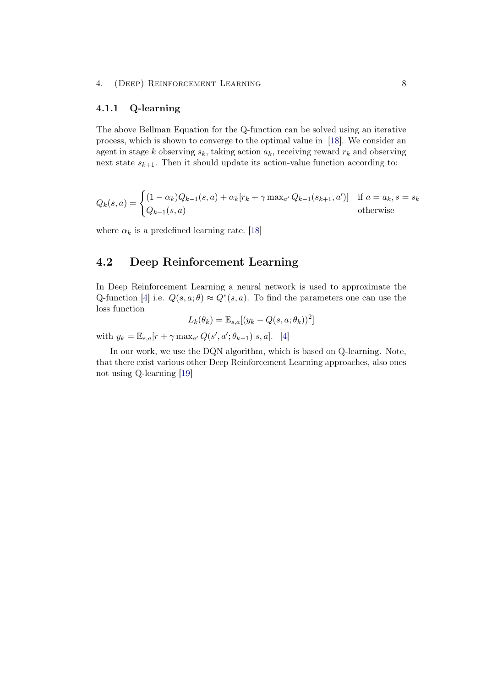### <span id="page-12-0"></span>4.1.1 Q-learning

The above Bellman Equation for the Q-function can be solved using an iterative process, which is shown to converge to the optimal value in [\[18\]](#page-24-8). We consider an agent in stage k observing  $s_k$ , taking action  $a_k$ , receiving reward  $r_k$  and observing next state  $s_{k+1}$ . Then it should update its action-value function according to:

$$
Q_k(s, a) = \begin{cases} (1 - \alpha_k)Q_{k-1}(s, a) + \alpha_k[r_k + \gamma \max_{a'} Q_{k-1}(s_{k+1}, a')] & \text{if } a = a_k, s = s_k\\ Q_{k-1}(s, a) & \text{otherwise} \end{cases}
$$

where  $\alpha_k$  is a predefined learning rate. [\[18\]](#page-24-8)

# <span id="page-12-1"></span>4.2 Deep Reinforcement Learning

In Deep Reinforcement Learning a neural network is used to approximate the Q-function [\[4\]](#page-23-4) i.e.  $Q(s, a; \theta) \approx Q^*(s, a)$ . To find the parameters one can use the loss function

$$
L_k(\theta_k) = \mathbb{E}_{s,a}[(y_k - Q(s, a; \theta_k))^2]
$$

with  $y_k = \mathbb{E}_{s,a}[r + \gamma \max_{a'} Q(s', a'; \theta_{k-1}) | s, a].$  [\[4\]](#page-23-4)

In our work, we use the DQN algorithm, which is based on Q-learning. Note, that there exist various other Deep Reinforcement Learning approaches, also ones not using Q-learning [\[19\]](#page-24-9)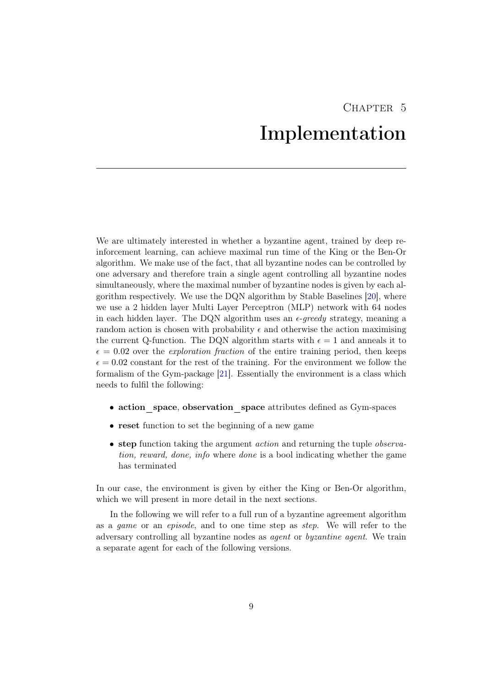# CHAPTER 5 Implementation

<span id="page-13-0"></span>We are ultimately interested in whether a byzantine agent, trained by deep reinforcement learning, can achieve maximal run time of the King or the Ben-Or algorithm. We make use of the fact, that all byzantine nodes can be controlled by one adversary and therefore train a single agent controlling all byzantine nodes simultaneously, where the maximal number of byzantine nodes is given by each algorithm respectively. We use the DQN algorithm by Stable Baselines [\[20\]](#page-24-10), where we use a 2 hidden layer Multi Layer Perceptron (MLP) network with 64 nodes in each hidden layer. The DQN algorithm uses an  $\epsilon$ -greedy strategy, meaning a random action is chosen with probability  $\epsilon$  and otherwise the action maximising the current Q-function. The DQN algorithm starts with  $\epsilon = 1$  and anneals it to  $\epsilon = 0.02$  over the *exploration fraction* of the entire training period, then keeps  $\epsilon = 0.02$  constant for the rest of the training. For the environment we follow the formalism of the Gym-package [\[21\]](#page-24-11). Essentially the environment is a class which needs to fulfil the following:

- action space, observation space attributes defined as Gym-spaces
- reset function to set the beginning of a new game
- step function taking the argument *action* and returning the tuple *observa*tion, reward, done, info where done is a bool indicating whether the game has terminated

In our case, the environment is given by either the King or Ben-Or algorithm, which we will present in more detail in the next sections.

In the following we will refer to a full run of a byzantine agreement algorithm as a game or an episode, and to one time step as step. We will refer to the adversary controlling all byzantine nodes as agent or byzantine agent. We train a separate agent for each of the following versions.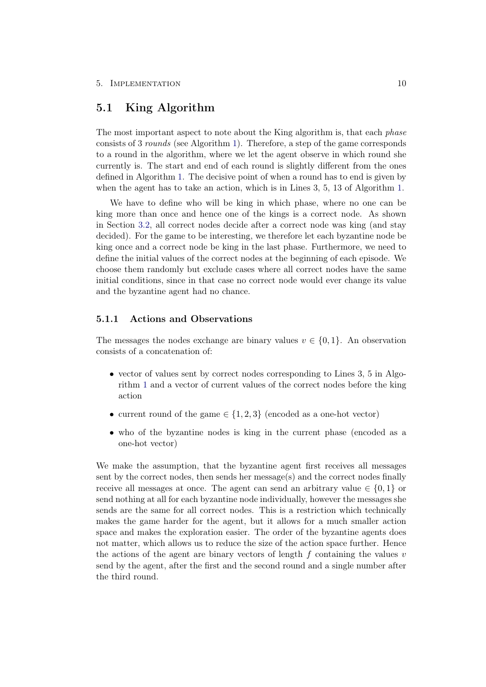### <span id="page-14-0"></span>5.1 King Algorithm

The most important aspect to note about the King algorithm is, that each *phase* consists of 3 rounds (see Algorithm [1\)](#page-8-2). Therefore, a step of the game corresponds to a round in the algorithm, where we let the agent observe in which round she currently is. The start and end of each round is slightly different from the ones defined in Algorithm [1.](#page-8-2) The decisive point of when a round has to end is given by when the agent has to take an action, which is in Lines 3, 5, 13 of Algorithm [1.](#page-8-2)

We have to define who will be king in which phase, where no one can be king more than once and hence one of the kings is a correct node. As shown in Section [3.2,](#page-8-0) all correct nodes decide after a correct node was king (and stay decided). For the game to be interesting, we therefore let each byzantine node be king once and a correct node be king in the last phase. Furthermore, we need to define the initial values of the correct nodes at the beginning of each episode. We choose them randomly but exclude cases where all correct nodes have the same initial conditions, since in that case no correct node would ever change its value and the byzantine agent had no chance.

#### <span id="page-14-1"></span>5.1.1 Actions and Observations

The messages the nodes exchange are binary values  $v \in \{0, 1\}$ . An observation consists of a concatenation of:

- vector of values sent by correct nodes corresponding to Lines 3, 5 in Algorithm [1](#page-8-2) and a vector of current values of the correct nodes before the king action
- current round of the game  $\in \{1,2,3\}$  (encoded as a one-hot vector)
- who of the byzantine nodes is king in the current phase (encoded as a one-hot vector)

We make the assumption, that the byzantine agent first receives all messages sent by the correct nodes, then sends her message(s) and the correct nodes finally receive all messages at once. The agent can send an arbitrary value  $\in \{0,1\}$  or send nothing at all for each byzantine node individually, however the messages she sends are the same for all correct nodes. This is a restriction which technically makes the game harder for the agent, but it allows for a much smaller action space and makes the exploration easier. The order of the byzantine agents does not matter, which allows us to reduce the size of the action space further. Hence the actions of the agent are binary vectors of length  $f$  containing the values  $v$ send by the agent, after the first and the second round and a single number after the third round.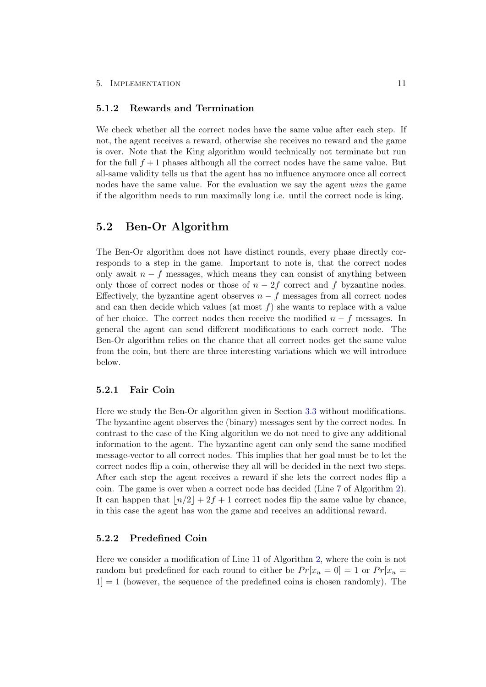#### <span id="page-15-0"></span>5.1.2 Rewards and Termination

We check whether all the correct nodes have the same value after each step. If not, the agent receives a reward, otherwise she receives no reward and the game is over. Note that the King algorithm would technically not terminate but run for the full  $f + 1$  phases although all the correct nodes have the same value. But all-same validity tells us that the agent has no influence anymore once all correct nodes have the same value. For the evaluation we say the agent wins the game if the algorithm needs to run maximally long i.e. until the correct node is king.

## <span id="page-15-1"></span>5.2 Ben-Or Algorithm

The Ben-Or algorithm does not have distinct rounds, every phase directly corresponds to a step in the game. Important to note is, that the correct nodes only await  $n - f$  messages, which means they can consist of anything between only those of correct nodes or those of  $n - 2f$  correct and f byzantine nodes. Effectively, the byzantine agent observes  $n - f$  messages from all correct nodes and can then decide which values (at most  $f$ ) she wants to replace with a value of her choice. The correct nodes then receive the modified  $n - f$  messages. In general the agent can send different modifications to each correct node. The Ben-Or algorithm relies on the chance that all correct nodes get the same value from the coin, but there are three interesting variations which we will introduce below.

#### <span id="page-15-2"></span>5.2.1 Fair Coin

Here we study the Ben-Or algorithm given in Section [3.3](#page-9-0) without modifications. The byzantine agent observes the (binary) messages sent by the correct nodes. In contrast to the case of the King algorithm we do not need to give any additional information to the agent. The byzantine agent can only send the same modified message-vector to all correct nodes. This implies that her goal must be to let the correct nodes flip a coin, otherwise they all will be decided in the next two steps. After each step the agent receives a reward if she lets the correct nodes flip a coin. The game is over when a correct node has decided (Line 7 of Algorithm [2\)](#page-9-2). It can happen that  $\lfloor n/2 \rfloor + 2f + 1$  correct nodes flip the same value by chance, in this case the agent has won the game and receives an additional reward.

#### <span id="page-15-3"></span>5.2.2 Predefined Coin

Here we consider a modification of Line 11 of Algorithm [2,](#page-9-2) where the coin is not random but predefined for each round to either be  $Pr[x_u = 0] = 1$  or  $Pr[x_u = 1]$  $1$  = 1 (however, the sequence of the predefined coins is chosen randomly). The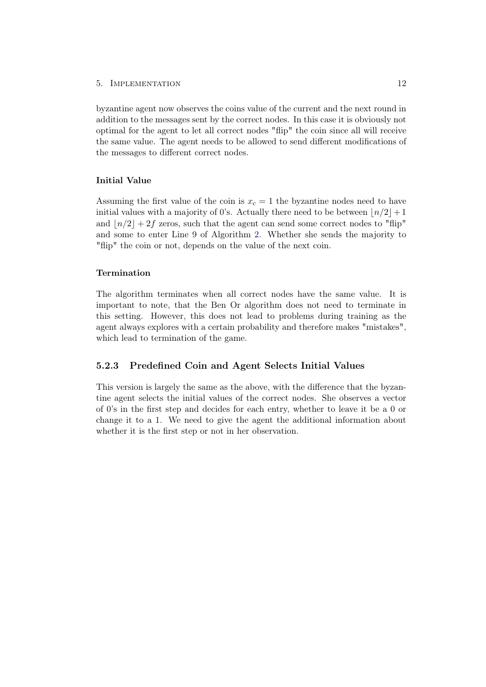#### 5. Implementation 12

byzantine agent now observes the coins value of the current and the next round in addition to the messages sent by the correct nodes. In this case it is obviously not optimal for the agent to let all correct nodes "flip" the coin since all will receive the same value. The agent needs to be allowed to send different modifications of the messages to different correct nodes.

#### Initial Value

Assuming the first value of the coin is  $x_c = 1$  the byzantine nodes need to have initial values with a majority of 0's. Actually there need to be between  $\lfloor n/2 \rfloor + 1$ and  $\lfloor n/2 \rfloor + 2f$  zeros, such that the agent can send some correct nodes to "flip" and some to enter Line 9 of Algorithm [2.](#page-9-2) Whether she sends the majority to "flip" the coin or not, depends on the value of the next coin.

#### Termination

The algorithm terminates when all correct nodes have the same value. It is important to note, that the Ben Or algorithm does not need to terminate in this setting. However, this does not lead to problems during training as the agent always explores with a certain probability and therefore makes "mistakes", which lead to termination of the game.

#### <span id="page-16-0"></span>5.2.3 Predefined Coin and Agent Selects Initial Values

This version is largely the same as the above, with the difference that the byzantine agent selects the initial values of the correct nodes. She observes a vector of 0's in the first step and decides for each entry, whether to leave it be a 0 or change it to a 1. We need to give the agent the additional information about whether it is the first step or not in her observation.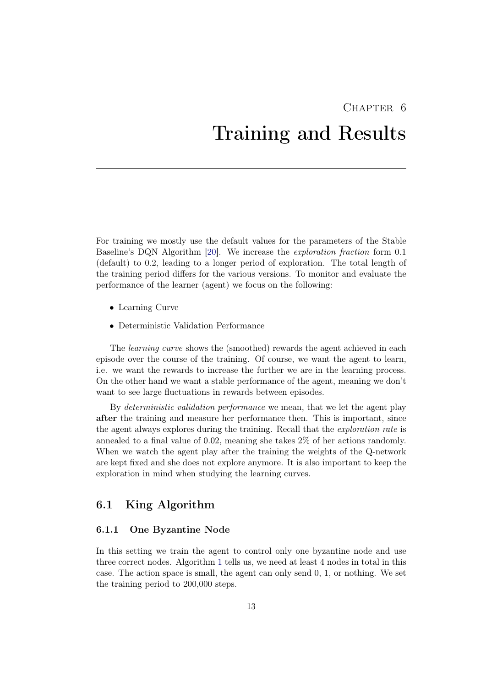# <span id="page-17-0"></span> $CHAPTER$  6 Training and Results

For training we mostly use the default values for the parameters of the Stable Baseline's DQN Algorithm [\[20\]](#page-24-10). We increase the exploration fraction form 0.1 (default) to 0.2, leading to a longer period of exploration. The total length of the training period differs for the various versions. To monitor and evaluate the performance of the learner (agent) we focus on the following:

- Learning Curve
- Deterministic Validation Performance

The learning curve shows the (smoothed) rewards the agent achieved in each episode over the course of the training. Of course, we want the agent to learn, i.e. we want the rewards to increase the further we are in the learning process. On the other hand we want a stable performance of the agent, meaning we don't want to see large fluctuations in rewards between episodes.

By deterministic validation performance we mean, that we let the agent play after the training and measure her performance then. This is important, since the agent always explores during the training. Recall that the *exploration rate* is annealed to a final value of 0.02, meaning she takes 2% of her actions randomly. When we watch the agent play after the training the weights of the Q-network are kept fixed and she does not explore anymore. It is also important to keep the exploration in mind when studying the learning curves.

### <span id="page-17-1"></span>6.1 King Algorithm

#### <span id="page-17-2"></span>6.1.1 One Byzantine Node

In this setting we train the agent to control only one byzantine node and use three correct nodes. Algorithm [1](#page-8-2) tells us, we need at least 4 nodes in total in this case. The action space is small, the agent can only send 0, 1, or nothing. We set the training period to 200,000 steps.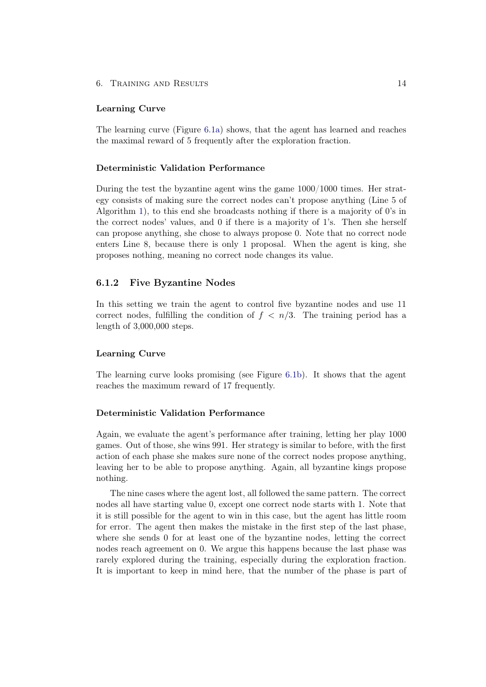#### 6. Training and Results 14

#### Learning Curve

The learning curve (Figure [6.1a\)](#page-21-0) shows, that the agent has learned and reaches the maximal reward of 5 frequently after the exploration fraction.

#### Deterministic Validation Performance

During the test the byzantine agent wins the game 1000/1000 times. Her strategy consists of making sure the correct nodes can't propose anything (Line 5 of Algorithm [1\)](#page-8-2), to this end she broadcasts nothing if there is a majority of 0's in the correct nodes' values, and 0 if there is a majority of 1's. Then she herself can propose anything, she chose to always propose 0. Note that no correct node enters Line 8, because there is only 1 proposal. When the agent is king, she proposes nothing, meaning no correct node changes its value.

#### <span id="page-18-0"></span>6.1.2 Five Byzantine Nodes

In this setting we train the agent to control five byzantine nodes and use 11 correct nodes, fulfilling the condition of  $f < n/3$ . The training period has a length of 3,000,000 steps.

#### Learning Curve

The learning curve looks promising (see Figure [6.1b\)](#page-21-0). It shows that the agent reaches the maximum reward of 17 frequently.

#### Deterministic Validation Performance

Again, we evaluate the agent's performance after training, letting her play 1000 games. Out of those, she wins 991. Her strategy is similar to before, with the first action of each phase she makes sure none of the correct nodes propose anything, leaving her to be able to propose anything. Again, all byzantine kings propose nothing.

The nine cases where the agent lost, all followed the same pattern. The correct nodes all have starting value 0, except one correct node starts with 1. Note that it is still possible for the agent to win in this case, but the agent has little room for error. The agent then makes the mistake in the first step of the last phase, where she sends 0 for at least one of the byzantine nodes, letting the correct nodes reach agreement on 0. We argue this happens because the last phase was rarely explored during the training, especially during the exploration fraction. It is important to keep in mind here, that the number of the phase is part of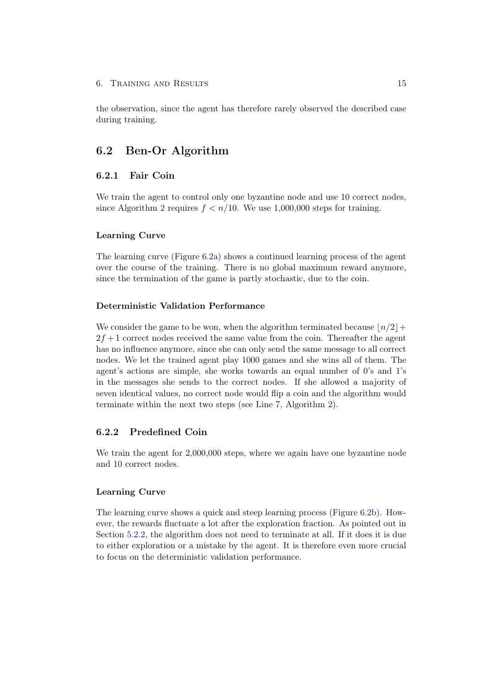the observation, since the agent has therefore rarely observed the described case during training.

### <span id="page-19-0"></span>6.2 Ben-Or Algorithm

### <span id="page-19-1"></span>6.2.1 Fair Coin

We train the agent to control only one byzantine node and use 10 correct nodes, since Algorithm [2](#page-9-2) requires  $f < n/10$ . We use 1,000,000 steps for training.

#### Learning Curve

The learning curve (Figure [6.2a\)](#page-21-1) shows a continued learning process of the agent over the course of the training. There is no global maximum reward anymore, since the termination of the game is partly stochastic, due to the coin.

#### Deterministic Validation Performance

We consider the game to be won, when the algorithm terminated because  $\lfloor n/2 \rfloor +$  $2f + 1$  correct nodes received the same value from the coin. Thereafter the agent has no influence anymore, since she can only send the same message to all correct nodes. We let the trained agent play 1000 games and she wins all of them. The agent's actions are simple, she works towards an equal number of 0's and 1's in the messages she sends to the correct nodes. If she allowed a majority of seven identical values, no correct node would flip a coin and the algorithm would terminate within the next two steps (see Line 7, Algorithm [2\)](#page-9-2).

#### <span id="page-19-2"></span>6.2.2 Predefined Coin

We train the agent for  $2,000,000$  steps, where we again have one byzantine node and 10 correct nodes.

#### Learning Curve

The learning curve shows a quick and steep learning process (Figure [6.2b\)](#page-21-1). However, the rewards fluctuate a lot after the exploration fraction. As pointed out in Section [5.2.2,](#page-15-3) the algorithm does not need to terminate at all. If it does it is due to either exploration or a mistake by the agent. It is therefore even more crucial to focus on the deterministic validation performance.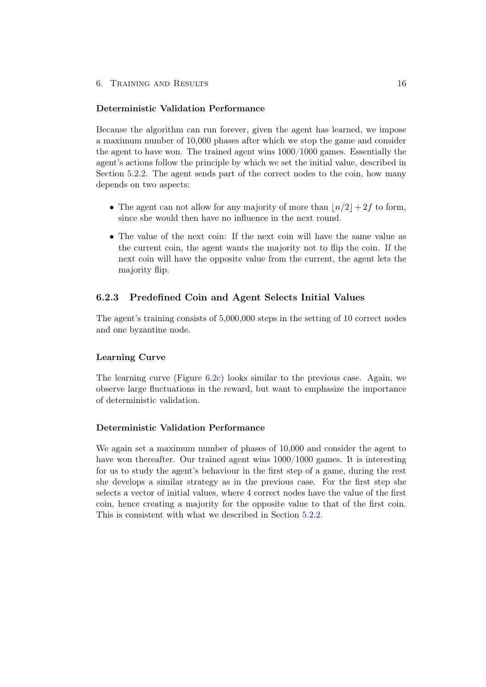#### Deterministic Validation Performance

Because the algorithm can run forever, given the agent has learned, we impose a maximum number of 10,000 phases after which we stop the game and consider the agent to have won. The trained agent wins 1000/1000 games. Essentially the agent's actions follow the principle by which we set the initial value, described in Section [5.2.2.](#page-15-3) The agent sends part of the correct nodes to the coin, how many depends on two aspects:

- The agent can not allow for any majority of more than  $\lfloor n/2 \rfloor + 2f$  to form, since she would then have no influence in the next round.
- The value of the next coin: If the next coin will have the same value as the current coin, the agent wants the majority not to flip the coin. If the next coin will have the opposite value from the current, the agent lets the majority flip.

#### <span id="page-20-0"></span>6.2.3 Predefined Coin and Agent Selects Initial Values

The agent's training consists of 5,000,000 steps in the setting of 10 correct nodes and one byzantine node.

#### Learning Curve

The learning curve (Figure [6.2c\)](#page-21-1) looks similar to the previous case. Again, we observe large fluctuations in the reward, but want to emphasize the importance of deterministic validation.

#### Deterministic Validation Performance

We again set a maximum number of phases of 10,000 and consider the agent to have won thereafter. Our trained agent wins 1000/1000 games. It is interesting for us to study the agent's behaviour in the first step of a game, during the rest she develops a similar strategy as in the previous case. For the first step she selects a vector of initial values, where 4 correct nodes have the value of the first coin, hence creating a majority for the opposite value to that of the first coin. This is consistent with what we described in Section [5.2.2.](#page-15-3)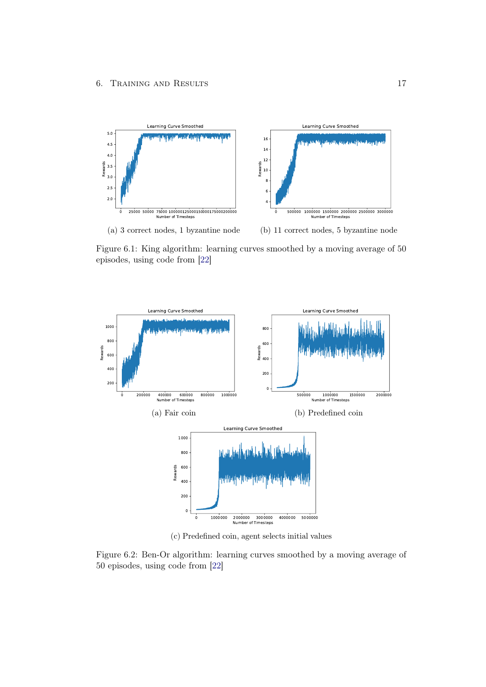<span id="page-21-0"></span>

Figure 6.1: King algorithm: learning curves smoothed by a moving average of 50 episodes, using code from [\[22\]](#page-24-12)

<span id="page-21-1"></span>

(c) Predefined coin, agent selects initial values

Figure 6.2: Ben-Or algorithm: learning curves smoothed by a moving average of 50 episodes, using code from [\[22\]](#page-24-12)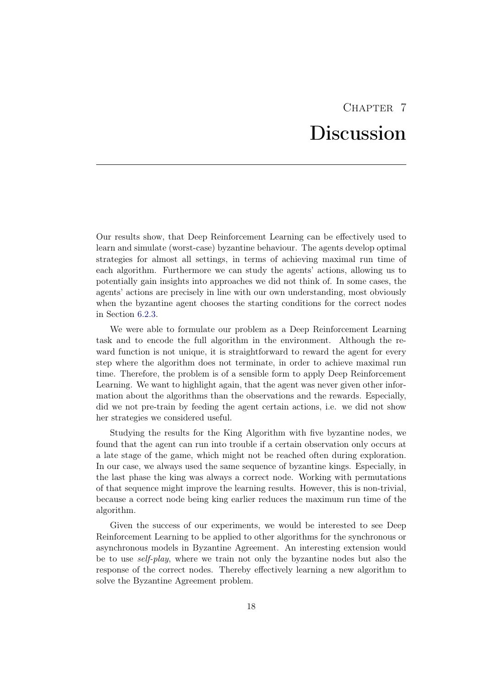# CHAPTER<sub>7</sub> **Discussion**

<span id="page-22-0"></span>Our results show, that Deep Reinforcement Learning can be effectively used to learn and simulate (worst-case) byzantine behaviour. The agents develop optimal strategies for almost all settings, in terms of achieving maximal run time of each algorithm. Furthermore we can study the agents' actions, allowing us to potentially gain insights into approaches we did not think of. In some cases, the agents' actions are precisely in line with our own understanding, most obviously when the byzantine agent chooses the starting conditions for the correct nodes in Section [6.2.3.](#page-20-0)

We were able to formulate our problem as a Deep Reinforcement Learning task and to encode the full algorithm in the environment. Although the reward function is not unique, it is straightforward to reward the agent for every step where the algorithm does not terminate, in order to achieve maximal run time. Therefore, the problem is of a sensible form to apply Deep Reinforcement Learning. We want to highlight again, that the agent was never given other information about the algorithms than the observations and the rewards. Especially, did we not pre-train by feeding the agent certain actions, i.e. we did not show her strategies we considered useful.

Studying the results for the King Algorithm with five byzantine nodes, we found that the agent can run into trouble if a certain observation only occurs at a late stage of the game, which might not be reached often during exploration. In our case, we always used the same sequence of byzantine kings. Especially, in the last phase the king was always a correct node. Working with permutations of that sequence might improve the learning results. However, this is non-trivial, because a correct node being king earlier reduces the maximum run time of the algorithm.

Given the success of our experiments, we would be interested to see Deep Reinforcement Learning to be applied to other algorithms for the synchronous or asynchronous models in Byzantine Agreement. An interesting extension would be to use self-play, where we train not only the byzantine nodes but also the response of the correct nodes. Thereby effectively learning a new algorithm to solve the Byzantine Agreement problem.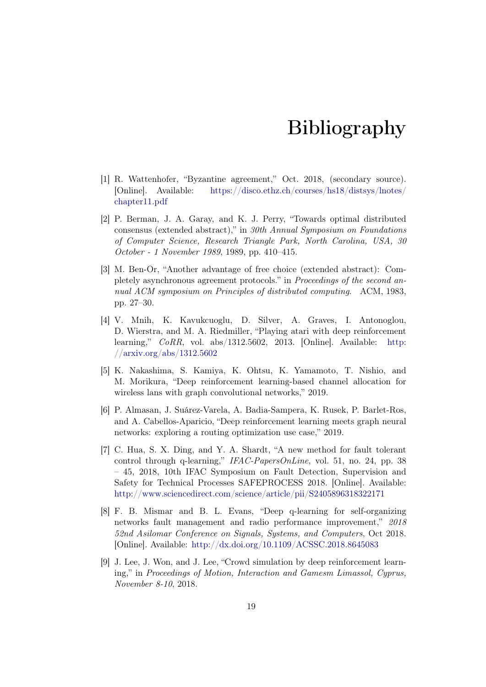# Bibliography

- <span id="page-23-1"></span><span id="page-23-0"></span>[1] R. Wattenhofer, "Byzantine agreement," Oct. 2018, (secondary source). [Online]. Available: [https://disco.ethz.ch/courses/hs18/distsys/lnotes/](https://disco.ethz.ch/courses/hs18/distsys/lnotes/chapter11.pdf) [chapter11.pdf](https://disco.ethz.ch/courses/hs18/distsys/lnotes/chapter11.pdf)
- <span id="page-23-2"></span>[2] P. Berman, J. A. Garay, and K. J. Perry, "Towards optimal distributed consensus (extended abstract)," in 30th Annual Symposium on Foundations of Computer Science, Research Triangle Park, North Carolina, USA, 30 October - 1 November 1989, 1989, pp. 410–415.
- <span id="page-23-3"></span>[3] M. Ben-Or, "Another advantage of free choice (extended abstract): Completely asynchronous agreement protocols." in Proceedings of the second annual ACM symposium on Principles of distributed computing. ACM, 1983, pp. 27–30.
- <span id="page-23-4"></span>[4] V. Mnih, K. Kavukcuoglu, D. Silver, A. Graves, I. Antonoglou, D. Wierstra, and M. A. Riedmiller, "Playing atari with deep reinforcement learning,"  $CoRR$ , vol. abs/1312.5602, 2013. [Online]. Available: [http:](http://arxiv.org/abs/1312.5602) [//arxiv.org/abs/1312.5602](http://arxiv.org/abs/1312.5602)
- <span id="page-23-5"></span>[5] K. Nakashima, S. Kamiya, K. Ohtsu, K. Yamamoto, T. Nishio, and M. Morikura, "Deep reinforcement learning-based channel allocation for wireless lans with graph convolutional networks," 2019.
- <span id="page-23-6"></span>[6] P. Almasan, J. Suárez-Varela, A. Badia-Sampera, K. Rusek, P. Barlet-Ros, and A. Cabellos-Aparicio, "Deep reinforcement learning meets graph neural networks: exploring a routing optimization use case," 2019.
- <span id="page-23-7"></span>[7] C. Hua, S. X. Ding, and Y. A. Shardt, "A new method for fault tolerant control through q-learning," IFAC-PapersOnLine, vol. 51, no. 24, pp. 38 – 45, 2018, 10th IFAC Symposium on Fault Detection, Supervision and Safety for Technical Processes SAFEPROCESS 2018. [Online]. Available: <http://www.sciencedirect.com/science/article/pii/S2405896318322171>
- <span id="page-23-8"></span>[8] F. B. Mismar and B. L. Evans, "Deep q-learning for self-organizing networks fault management and radio performance improvement," 2018 52nd Asilomar Conference on Signals, Systems, and Computers, Oct 2018. [Online]. Available: <http://dx.doi.org/10.1109/ACSSC.2018.8645083>
- <span id="page-23-9"></span>[9] J. Lee, J. Won, and J. Lee, "Crowd simulation by deep reinforcement learning," in Proceedings of Motion, Interaction and Gamesm Limassol, Cyprus, November 8-10, 2018.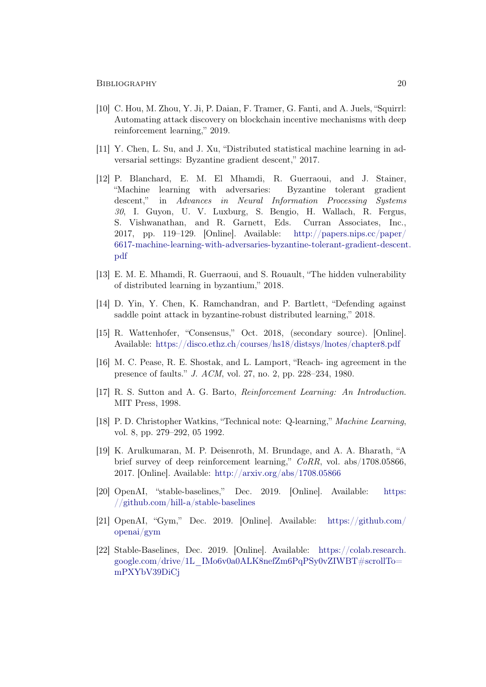- <span id="page-24-0"></span>[10] C. Hou, M. Zhou, Y. Ji, P. Daian, F. Tramer, G. Fanti, and A. Juels, "Squirrl: Automating attack discovery on blockchain incentive mechanisms with deep reinforcement learning," 2019.
- <span id="page-24-1"></span>[11] Y. Chen, L. Su, and J. Xu, "Distributed statistical machine learning in adversarial settings: Byzantine gradient descent," 2017.
- <span id="page-24-2"></span>[12] P. Blanchard, E. M. El Mhamdi, R. Guerraoui, and J. Stainer, "Machine learning with adversaries: Byzantine tolerant gradient descent," in Advances in Neural Information Processing Systems 30, I. Guyon, U. V. Luxburg, S. Bengio, H. Wallach, R. Fergus, S. Vishwanathan, and R. Garnett, Eds. Curran Associates, Inc., 2017, pp. 119–129. [Online]. Available: [http://papers.nips.cc/paper/](http://papers.nips.cc/paper/6617-machine-learning-with-adversaries-byzantine-tolerant-gradient-descent.pdf) [6617-machine-learning-with-adversaries-byzantine-tolerant-gradient-descent](http://papers.nips.cc/paper/6617-machine-learning-with-adversaries-byzantine-tolerant-gradient-descent.pdf). [pdf](http://papers.nips.cc/paper/6617-machine-learning-with-adversaries-byzantine-tolerant-gradient-descent.pdf)
- <span id="page-24-3"></span>[13] E. M. E. Mhamdi, R. Guerraoui, and S. Rouault, "The hidden vulnerability of distributed learning in byzantium," 2018.
- <span id="page-24-4"></span>[14] D. Yin, Y. Chen, K. Ramchandran, and P. Bartlett, "Defending against saddle point attack in byzantine-robust distributed learning," 2018.
- <span id="page-24-5"></span>[15] R. Wattenhofer, "Consensus," Oct. 2018, (secondary source). [Online]. Available: <https://disco.ethz.ch/courses/hs18/distsys/lnotes/chapter8.pdf>
- <span id="page-24-6"></span>[16] M. C. Pease, R. E. Shostak, and L. Lamport, "Reach- ing agreement in the presence of faults." J. ACM, vol. 27, no. 2, pp. 228–234, 1980.
- <span id="page-24-7"></span>[17] R. S. Sutton and A. G. Barto, Reinforcement Learning: An Introduction. MIT Press, 1998.
- <span id="page-24-8"></span>[18] P. D. Christopher Watkins, "Technical note: Q-learning," Machine Learning, vol. 8, pp. 279–292, 05 1992.
- <span id="page-24-9"></span>[19] K. Arulkumaran, M. P. Deisenroth, M. Brundage, and A. A. Bharath, "A brief survey of deep reinforcement learning," CoRR, vol. abs/1708.05866, 2017. [Online]. Available: <http://arxiv.org/abs/1708.05866>
- <span id="page-24-10"></span>[20] OpenAI, "stable-baselines," Dec. 2019. [Online]. Available: [https:](https://github.com/hill-a/stable-baselines) [//github.com/hill-a/stable-baselines](https://github.com/hill-a/stable-baselines)
- <span id="page-24-11"></span>[21] OpenAI, "Gym," Dec. 2019. [Online]. Available: [https://github.com/](https://github.com/openai/gym) [openai/gym](https://github.com/openai/gym)
- <span id="page-24-12"></span>[22] Stable-Baselines, Dec. 2019. [Online]. Available: [https://colab.research.](https://colab.research.google.com/drive/1L_IMo6v0a0ALK8nefZm6PqPSy0vZIWBT#scrollTo=mPXYbV39DiCj) [google.com/drive/1L\\_IMo6v0a0ALK8nefZm6PqPSy0vZIWBT#scrollTo=](https://colab.research.google.com/drive/1L_IMo6v0a0ALK8nefZm6PqPSy0vZIWBT#scrollTo=mPXYbV39DiCj) [mPXYbV39DiCj](https://colab.research.google.com/drive/1L_IMo6v0a0ALK8nefZm6PqPSy0vZIWBT#scrollTo=mPXYbV39DiCj)